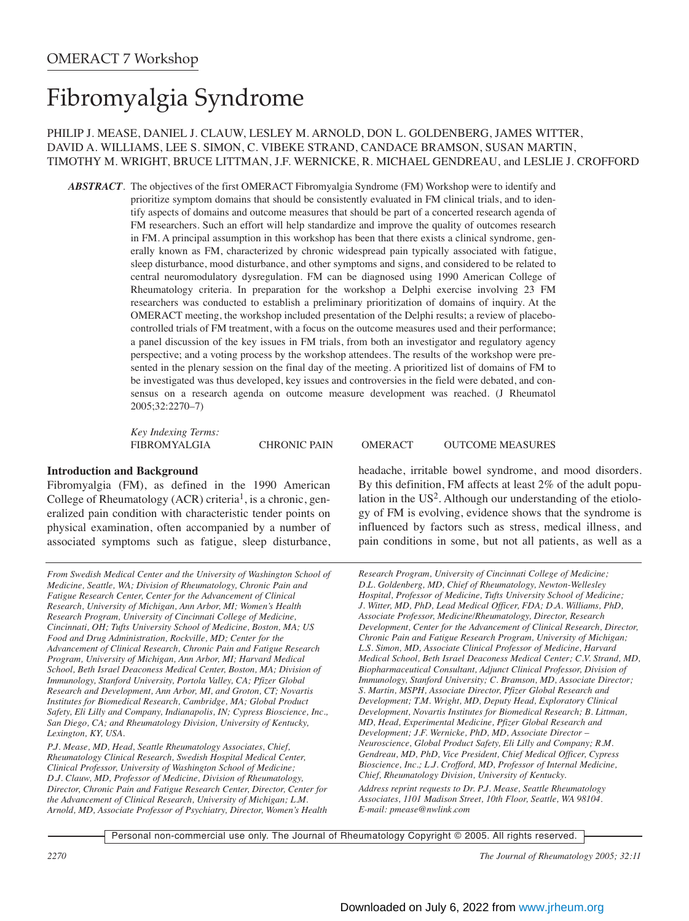# Fibromyalgia Syndrome

## PHILIP J. MEASE, DANIEL J. CLAUW, LESLEY M. ARNOLD, DON L. GOLDENBERG, JAMES WITTER, DAVID A. WILLIAMS, LEE S. SIMON, C. VIBEKE STRAND, CANDACE BRAMSON, SUSAN MARTIN, TIMOTHY M. WRIGHT, BRUCE LITTMAN, J.F. WERNICKE, R. MICHAEL GENDREAU, and LESLIE J. CROFFORD

*ABSTRACT*. The objectives of the first OMERACT Fibromyalgia Syndrome (FM) Workshop were to identify and prioritize symptom domains that should be consistently evaluated in FM clinical trials, and to identify aspects of domains and outcome measures that should be part of a concerted research agenda of FM researchers. Such an effort will help standardize and improve the quality of outcomes research in FM. A principal assumption in this workshop has been that there exists a clinical syndrome, generally known as FM, characterized by chronic widespread pain typically associated with fatigue, sleep disturbance, mood disturbance, and other symptoms and signs, and considered to be related to central neuromodulatory dysregulation. FM can be diagnosed using 1990 American College of Rheumatology criteria. In preparation for the workshop a Delphi exercise involving 23 FM researchers was conducted to establish a preliminary prioritization of domains of inquiry. At the OMERACT meeting, the workshop included presentation of the Delphi results; a review of placebocontrolled trials of FM treatment, with a focus on the outcome measures used and their performance; a panel discussion of the key issues in FM trials, from both an investigator and regulatory agency perspective; and a voting process by the workshop attendees. The results of the workshop were presented in the plenary session on the final day of the meeting. A prioritized list of domains of FM to be investigated was thus developed, key issues and controversies in the field were debated, and consensus on a research agenda on outcome measure development was reached. (J Rheumatol 2005;32:2270–7)

*Key Indexing Terms:* 

FIBROMYALGIA CHRONIC PAIN OMERACT OUTCOME MEASURES

## **Introduction and Background**

Fibromyalgia (FM), as defined in the 1990 American College of Rheumatology (ACR) criteria<sup>1</sup>, is a chronic, generalized pain condition with characteristic tender points on physical examination, often accompanied by a number of associated symptoms such as fatigue, sleep disturbance,

*From Swedish Medical Center and the University of Washington School of Medicine, Seattle, WA; Division of Rheumatology, Chronic Pain and Fatigue Research Center, Center for the Advancement of Clinical Research, University of Michigan, Ann Arbor, MI; Women's Health Research Program, University of Cincinnati College of Medicine, Cincinnati, OH; Tufts University School of Medicine, Boston, MA; US Food and Drug Administration, Rockville, MD; Center for the Advancement of Clinical Research, Chronic Pain and Fatigue Research Program, University of Michigan, Ann Arbor, MI; Harvard Medical School, Beth Israel Deaconess Medical Center, Boston, MA; Division of Immunology, Stanford University, Portola Valley, CA; Pfizer Global Research and Development, Ann Arbor, MI, and Groton, CT; Novartis Institutes for Biomedical Research, Cambridge, MA; Global Product Safety, Eli Lilly and Company, Indianapolis, IN; Cypress Bioscience, Inc., San Diego, CA; and Rheumatology Division, University of Kentucky, Lexington, KY, USA.*

*P.J. Mease, MD, Head, Seattle Rheumatology Associates, Chief, Rheumatology Clinical Research, Swedish Hospital Medical Center, Clinical Professor, University of Washington School of Medicine; D.J. Clauw, MD, Professor of Medicine, Division of Rheumatology, Director, Chronic Pain and Fatigue Research Center, Director, Center for the Advancement of Clinical Research, University of Michigan; L.M. Arnold, MD, Associate Professor of Psychiatry, Director, Women's Health* headache, irritable bowel syndrome, and mood disorders. By this definition, FM affects at least 2% of the adult population in the  $US^2$ . Although our understanding of the etiology of FM is evolving, evidence shows that the syndrome is influenced by factors such as stress, medical illness, and pain conditions in some, but not all patients, as well as a

*Research Program, University of Cincinnati College of Medicine; D.L. Goldenberg, MD, Chief of Rheumatology, Newton-Wellesley Hospital, Professor of Medicine, Tufts University School of Medicine; J. Witter, MD, PhD, Lead Medical Officer, FDA; D.A. Williams, PhD, Associate Professor, Medicine/Rheumatology, Director, Research Development, Center for the Advancement of Clinical Research, Director, Chronic Pain and Fatigue Research Program, University of Michigan; L.S. Simon, MD, Associate Clinical Professor of Medicine, Harvard Medical School, Beth Israel Deaconess Medical Center; C.V. Strand, MD, Biopharmaceutical Consultant, Adjunct Clinical Professor, Division of Immunology, Stanford University; C. Bramson, MD, Associate Director; S. Martin, MSPH, Associate Director, Pfizer Global Research and Development; T.M. Wright, MD, Deputy Head, Exploratory Clinical Development, Novartis Institutes for Biomedical Research; B. Littman, MD, Head, Experimental Medicine, Pfizer Global Research and Development; J.F. Wernicke, PhD, MD, Associate Director – Neuroscience, Global Product Safety, Eli Lilly and Company; R.M. Gendreau, MD, PhD, Vice President, Chief Medical Officer, Cypress Bioscience, Inc.; L.J. Crofford, MD, Professor of Internal Medicine, Chief, Rheumatology Division, University of Kentucky. Address reprint requests to Dr. P.J. Mease, Seattle Rheumatology Associates, 1101 Madison Street, 10th Floor, Seattle, WA 98104. E-mail: pmease@nwlink.com*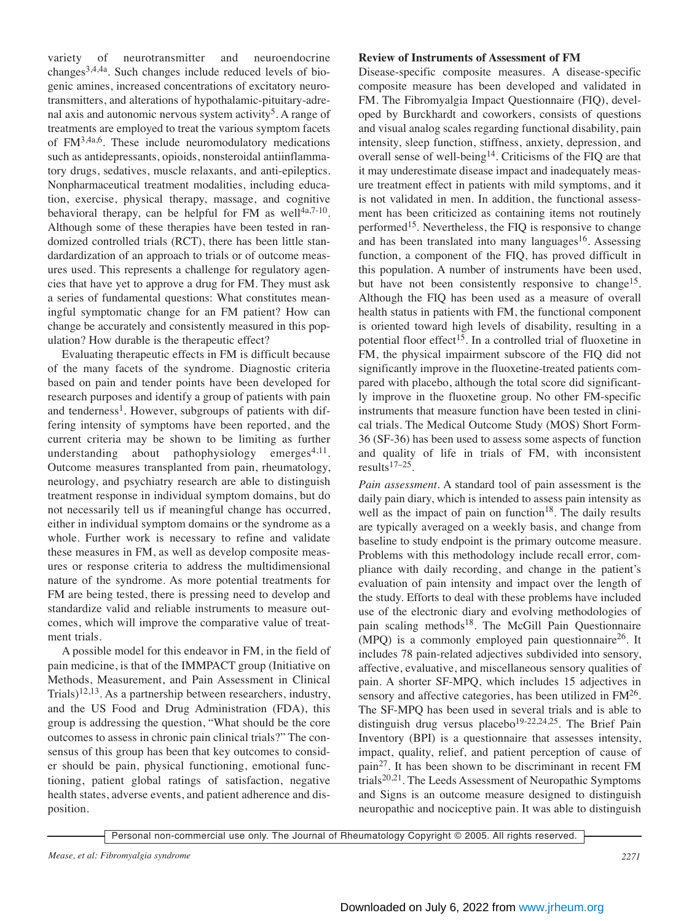variety of neurotransmitter and neuroendocrine  $changes<sup>3,4,4a</sup>$ . Such changes include reduced levels of biogenic amines, increased concentrations of excitatory neurotransmitters, and alterations of hypothalamic-pituitary-adrenal axis and autonomic nervous system activity<sup>5</sup>. A range of treatments are employed to treat the various symptom facets of FM3,4a,6. These include neuromodulatory medications such as antidepressants, opioids, nonsteroidal antiinflammatory drugs, sedatives, muscle relaxants, and anti-epileptics. Nonpharmaceutical treatment modalities, including education, exercise, physical therapy, massage, and cognitive behavioral therapy, can be helpful for FM as well $4a$ , $7-10$ . Although some of these therapies have been tested in randomized controlled trials (RCT), there has been little standardardization of an approach to trials or of outcome measures used. This represents a challenge for regulatory agencies that have yet to approve a drug for FM. They must ask a series of fundamental questions: What constitutes meaningful symptomatic change for an FM patient? How can change be accurately and consistently measured in this population? How durable is the therapeutic effect?

Evaluating therapeutic effects in FM is difficult because of the many facets of the syndrome. Diagnostic criteria based on pain and tender points have been developed for research purposes and identify a group of patients with pain and tenderness<sup>1</sup>. However, subgroups of patients with differing intensity of symptoms have been reported, and the current criteria may be shown to be limiting as further understanding about pathophysiology emerges $4,11$ . Outcome measures transplanted from pain, rheumatology, neurology, and psychiatry research are able to distinguish treatment response in individual symptom domains, but do not necessarily tell us if meaningful change has occurred, either in individual symptom domains or the syndrome as a whole. Further work is necessary to refine and validate these measures in FM, as well as develop composite measures or response criteria to address the multidimensional nature of the syndrome. As more potential treatments for FM are being tested, there is pressing need to develop and standardize valid and reliable instruments to measure outcomes, which will improve the comparative value of treatment trials.

A possible model for this endeavor in FM, in the field of pain medicine, is that of the IMMPACT group (Initiative on Methods, Measurement, and Pain Assessment in Clinical Trials)<sup>12,13</sup>. As a partnership between researchers, industry, and the US Food and Drug Administration (FDA), this group is addressing the question, "What should be the core outcomes to assess in chronic pain clinical trials?" The consensus of this group has been that key outcomes to consider should be pain, physical functioning, emotional functioning, patient global ratings of satisfaction, negative health states, adverse events, and patient adherence and disposition.

## **Review of Instruments of Assessment of FM**

Disease-specific composite measures. A disease-specific composite measure has been developed and validated in FM. The Fibromyalgia Impact Questionnaire (FIQ), developed by Burckhardt and coworkers, consists of questions and visual analog scales regarding functional disability, pain intensity, sleep function, stiffness, anxiety, depression, and overall sense of well-being14. Criticisms of the FIQ are that it may underestimate disease impact and inadequately measure treatment effect in patients with mild symptoms, and it is not validated in men. In addition, the functional assessment has been criticized as containing items not routinely performed15. Nevertheless, the FIQ is responsive to change and has been translated into many languages $16$ . Assessing function, a component of the FIQ, has proved difficult in this population. A number of instruments have been used, but have not been consistently responsive to change<sup>15</sup>. Although the FIQ has been used as a measure of overall health status in patients with FM, the functional component is oriented toward high levels of disability, resulting in a potential floor effect<sup>15</sup>. In a controlled trial of fluoxetine in FM, the physical impairment subscore of the FIQ did not significantly improve in the fluoxetine-treated patients compared with placebo, although the total score did significantly improve in the fluoxetine group. No other FM-specific instruments that measure function have been tested in clinical trials. The Medical Outcome Study (MOS) Short Form-36 (SF-36) has been used to assess some aspects of function and quality of life in trials of FM, with inconsistent results17–25.

*Pain assessment.* A standard tool of pain assessment is the daily pain diary, which is intended to assess pain intensity as well as the impact of pain on function<sup>18</sup>. The daily results are typically averaged on a weekly basis, and change from baseline to study endpoint is the primary outcome measure. Problems with this methodology include recall error, compliance with daily recording, and change in the patient's evaluation of pain intensity and impact over the length of the study. Efforts to deal with these problems have included use of the electronic diary and evolving methodologies of pain scaling methods<sup>18</sup>. The McGill Pain Questionnaire (MPO) is a commonly employed pain questionnaire<sup>26</sup>. It includes 78 pain-related adjectives subdivided into sensory, affective, evaluative, and miscellaneous sensory qualities of pain. A shorter SF-MPQ, which includes 15 adjectives in sensory and affective categories, has been utilized in FM<sup>26</sup>. The SF-MPQ has been used in several trials and is able to distinguish drug versus placebo<sup>19-22,24,25</sup>. The Brief Pain Inventory (BPI) is a questionnaire that assesses intensity, impact, quality, relief, and patient perception of cause of pain27. It has been shown to be discriminant in recent FM trials20,21. The Leeds Assessment of Neuropathic Symptoms and Signs is an outcome measure designed to distinguish neuropathic and nociceptive pain. It was able to distinguish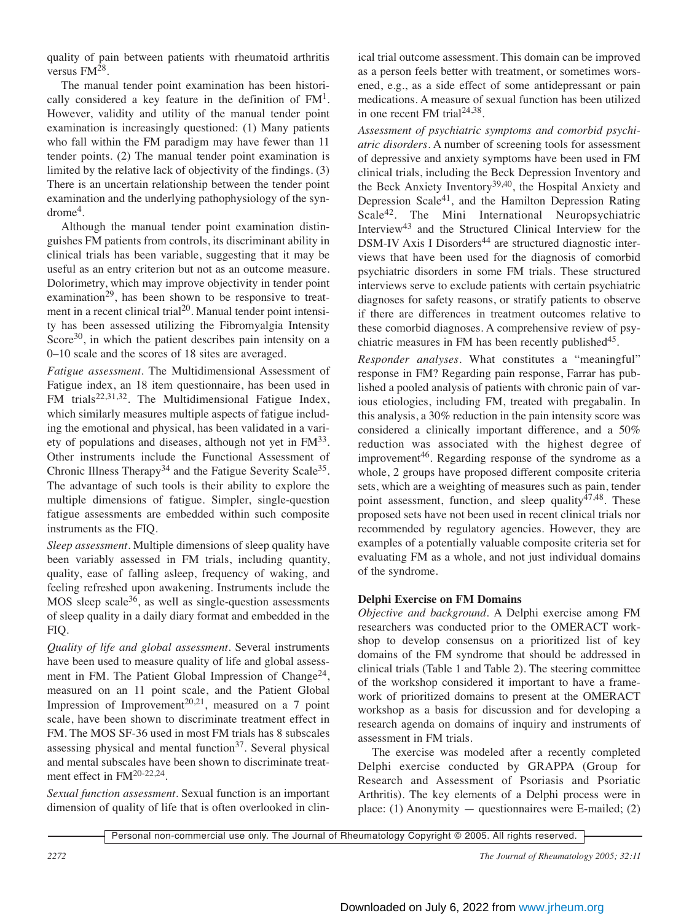quality of pain between patients with rheumatoid arthritis versus FM28.

The manual tender point examination has been historically considered a key feature in the definition of  $FM<sup>1</sup>$ . However, validity and utility of the manual tender point examination is increasingly questioned: (1) Many patients who fall within the FM paradigm may have fewer than 11 tender points. (2) The manual tender point examination is limited by the relative lack of objectivity of the findings. (3) There is an uncertain relationship between the tender point examination and the underlying pathophysiology of the syn $d$ rome<sup>4</sup>.

Although the manual tender point examination distinguishes FM patients from controls, its discriminant ability in clinical trials has been variable, suggesting that it may be useful as an entry criterion but not as an outcome measure. Dolorimetry, which may improve objectivity in tender point examination<sup>29</sup>, has been shown to be responsive to treatment in a recent clinical trial<sup>20</sup>. Manual tender point intensity has been assessed utilizing the Fibromyalgia Intensity Score $30$ , in which the patient describes pain intensity on a 0–10 scale and the scores of 18 sites are averaged.

*Fatigue assessment.* The Multidimensional Assessment of Fatigue index, an 18 item questionnaire, has been used in FM trials<sup>22,31,32</sup>. The Multidimensional Fatigue Index, which similarly measures multiple aspects of fatigue including the emotional and physical, has been validated in a variety of populations and diseases, although not yet in FM33. Other instruments include the Functional Assessment of Chronic Illness Therapy<sup>34</sup> and the Fatigue Severity Scale<sup>35</sup>. The advantage of such tools is their ability to explore the multiple dimensions of fatigue. Simpler, single-question fatigue assessments are embedded within such composite instruments as the FIQ.

*Sleep assessment.* Multiple dimensions of sleep quality have been variably assessed in FM trials, including quantity, quality, ease of falling asleep, frequency of waking, and feeling refreshed upon awakening. Instruments include the MOS sleep scale<sup>36</sup>, as well as single-question assessments of sleep quality in a daily diary format and embedded in the FIQ.

*Quality of life and global assessment.* Several instruments have been used to measure quality of life and global assessment in FM. The Patient Global Impression of Change<sup>24</sup>, measured on an 11 point scale, and the Patient Global Impression of Improvement<sup>20,21</sup>, measured on a 7 point scale, have been shown to discriminate treatment effect in FM. The MOS SF-36 used in most FM trials has 8 subscales assessing physical and mental function $37$ . Several physical and mental subscales have been shown to discriminate treatment effect in FM<sup>20-22,24</sup>.

*Sexual function assessment.* Sexual function is an important dimension of quality of life that is often overlooked in clinical trial outcome assessment. This domain can be improved as a person feels better with treatment, or sometimes worsened, e.g., as a side effect of some antidepressant or pain medications. A measure of sexual function has been utilized in one recent FM trial $24,38$ .

*Assessment of psychiatric symptoms and comorbid psychiatric disorders.* A number of screening tools for assessment of depressive and anxiety symptoms have been used in FM clinical trials, including the Beck Depression Inventory and the Beck Anxiety Inventory<sup>39,40</sup>, the Hospital Anxiety and Depression Scale41, and the Hamilton Depression Rating Scale<sup>42</sup>. The Mini International Neuropsychiatric Interview43 and the Structured Clinical Interview for the DSM-IV Axis I Disorders<sup>44</sup> are structured diagnostic interviews that have been used for the diagnosis of comorbid psychiatric disorders in some FM trials. These structured interviews serve to exclude patients with certain psychiatric diagnoses for safety reasons, or stratify patients to observe if there are differences in treatment outcomes relative to these comorbid diagnoses. A comprehensive review of psychiatric measures in FM has been recently published<sup>45</sup>.

*Responder analyses*. What constitutes a "meaningful" response in FM? Regarding pain response, Farrar has published a pooled analysis of patients with chronic pain of various etiologies, including FM, treated with pregabalin. In this analysis, a 30% reduction in the pain intensity score was considered a clinically important difference, and a 50% reduction was associated with the highest degree of improvement<sup>46</sup>. Regarding response of the syndrome as a whole, 2 groups have proposed different composite criteria sets, which are a weighting of measures such as pain, tender point assessment, function, and sleep quality<sup>47,48</sup>. These proposed sets have not been used in recent clinical trials nor recommended by regulatory agencies. However, they are examples of a potentially valuable composite criteria set for evaluating FM as a whole, and not just individual domains of the syndrome.

# **Delphi Exercise on FM Domains**

*Objective and background.* A Delphi exercise among FM researchers was conducted prior to the OMERACT workshop to develop consensus on a prioritized list of key domains of the FM syndrome that should be addressed in clinical trials (Table 1 and Table 2). The steering committee of the workshop considered it important to have a framework of prioritized domains to present at the OMERACT workshop as a basis for discussion and for developing a research agenda on domains of inquiry and instruments of assessment in FM trials.

The exercise was modeled after a recently completed Delphi exercise conducted by GRAPPA (Group for Research and Assessment of Psoriasis and Psoriatic Arthritis). The key elements of a Delphi process were in place: (1) Anonymity  $-$  questionnaires were E-mailed; (2)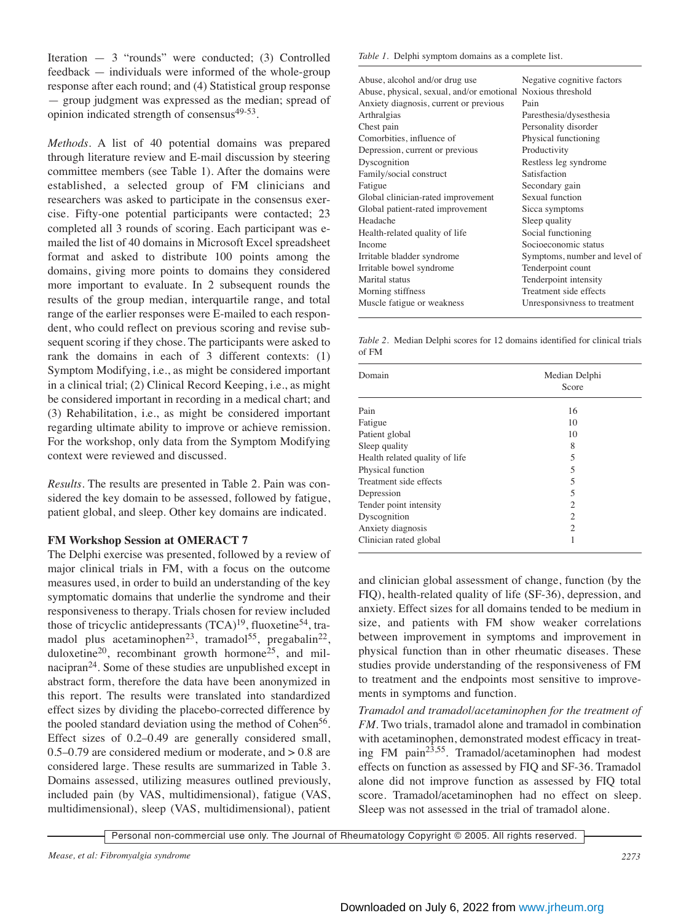Iteration — 3 "rounds" were conducted; (3) Controlled feedback — individuals were informed of the whole-group response after each round; and (4) Statistical group response — group judgment was expressed as the median; spread of opinion indicated strength of consensus49-53.

*Methods.* A list of 40 potential domains was prepared through literature review and E-mail discussion by steering committee members (see Table 1). After the domains were established, a selected group of FM clinicians and researchers was asked to participate in the consensus exercise. Fifty-one potential participants were contacted; 23 completed all 3 rounds of scoring. Each participant was emailed the list of 40 domains in Microsoft Excel spreadsheet format and asked to distribute 100 points among the domains, giving more points to domains they considered more important to evaluate. In 2 subsequent rounds the results of the group median, interquartile range, and total range of the earlier responses were E-mailed to each respondent, who could reflect on previous scoring and revise subsequent scoring if they chose. The participants were asked to rank the domains in each of 3 different contexts: (1) Symptom Modifying, i.e., as might be considered important in a clinical trial; (2) Clinical Record Keeping, i.e., as might be considered important in recording in a medical chart; and (3) Rehabilitation, i.e., as might be considered important regarding ultimate ability to improve or achieve remission. For the workshop, only data from the Symptom Modifying context were reviewed and discussed.

*Results.* The results are presented in Table 2. Pain was considered the key domain to be assessed, followed by fatigue, patient global, and sleep. Other key domains are indicated.

## **FM Workshop Session at OMERACT 7**

The Delphi exercise was presented, followed by a review of major clinical trials in FM, with a focus on the outcome measures used, in order to build an understanding of the key symptomatic domains that underlie the syndrome and their responsiveness to therapy. Trials chosen for review included those of tricyclic antidepressants  $(TCA)^{19}$ , fluoxetine<sup>54</sup>, tramadol plus acetaminophen<sup>23</sup>, tramadol<sup>55</sup>, pregabalin<sup>22</sup>, duloxetine<sup>20</sup>, recombinant growth hormone<sup>25</sup>, and milnacipran<sup>24</sup>. Some of these studies are unpublished except in abstract form, therefore the data have been anonymized in this report. The results were translated into standardized effect sizes by dividing the placebo-corrected difference by the pooled standard deviation using the method of Cohen<sup>56</sup>. Effect sizes of 0.2–0.49 are generally considered small, 0.5–0.79 are considered medium or moderate, and > 0.8 are considered large. These results are summarized in Table 3. Domains assessed, utilizing measures outlined previously, included pain (by VAS, multidimensional), fatigue (VAS, multidimensional), sleep (VAS, multidimensional), patient *Table 1.* Delphi symptom domains as a complete list.

| Abuse, alcohol and/or drug use                              | Negative cognitive factors    |
|-------------------------------------------------------------|-------------------------------|
| Abuse, physical, sexual, and/or emotional Noxious threshold |                               |
| Anxiety diagnosis, current or previous                      | Pain                          |
| Arthralgias                                                 | Paresthesia/dysesthesia       |
| Chest pain                                                  | Personality disorder          |
| Comorbities, influence of                                   | Physical functioning          |
| Depression, current or previous                             | Productivity                  |
| Dyscognition                                                | Restless leg syndrome         |
| Family/social construct                                     | Satisfaction                  |
| Fatigue                                                     | Secondary gain                |
| Global clinician-rated improvement                          | Sexual function               |
| Global patient-rated improvement                            | Sicca symptoms                |
| Headache                                                    | Sleep quality                 |
| Health-related quality of life                              | Social functioning            |
| Income                                                      | Socioeconomic status          |
| Irritable bladder syndrome                                  | Symptoms, number and level of |
| Irritable bowel syndrome                                    | Tenderpoint count             |
| Marital status                                              | Tenderpoint intensity         |
| Morning stiffness                                           | Treatment side effects        |
| Muscle fatigue or weakness                                  | Unresponsivness to treatment  |
|                                                             |                               |

*Table 2.* Median Delphi scores for 12 domains identified for clinical trials of FM

| Domain                         | Median Delphi<br>Score |
|--------------------------------|------------------------|
| Pain                           | 16                     |
| Fatigue                        | 10                     |
| Patient global                 | 10                     |
| Sleep quality                  | 8                      |
| Health related quality of life | 5                      |
| Physical function              | 5                      |
| Treatment side effects         | 5                      |
| Depression                     | 5                      |
| Tender point intensity         | $\overline{2}$         |
| Dyscognition                   | 2                      |
| Anxiety diagnosis              | $\overline{c}$         |
| Clinician rated global         | 1                      |

and clinician global assessment of change, function (by the FIQ), health-related quality of life (SF-36), depression, and anxiety. Effect sizes for all domains tended to be medium in size, and patients with FM show weaker correlations between improvement in symptoms and improvement in physical function than in other rheumatic diseases. These studies provide understanding of the responsiveness of FM to treatment and the endpoints most sensitive to improvements in symptoms and function.

*Tramadol and tramadol/acetaminophen for the treatment of FM*. Two trials, tramadol alone and tramadol in combination with acetaminophen, demonstrated modest efficacy in treating FM pain23,55. Tramadol/acetaminophen had modest effects on function as assessed by FIQ and SF-36. Tramadol alone did not improve function as assessed by FIQ total score. Tramadol/acetaminophen had no effect on sleep. Sleep was not assessed in the trial of tramadol alone.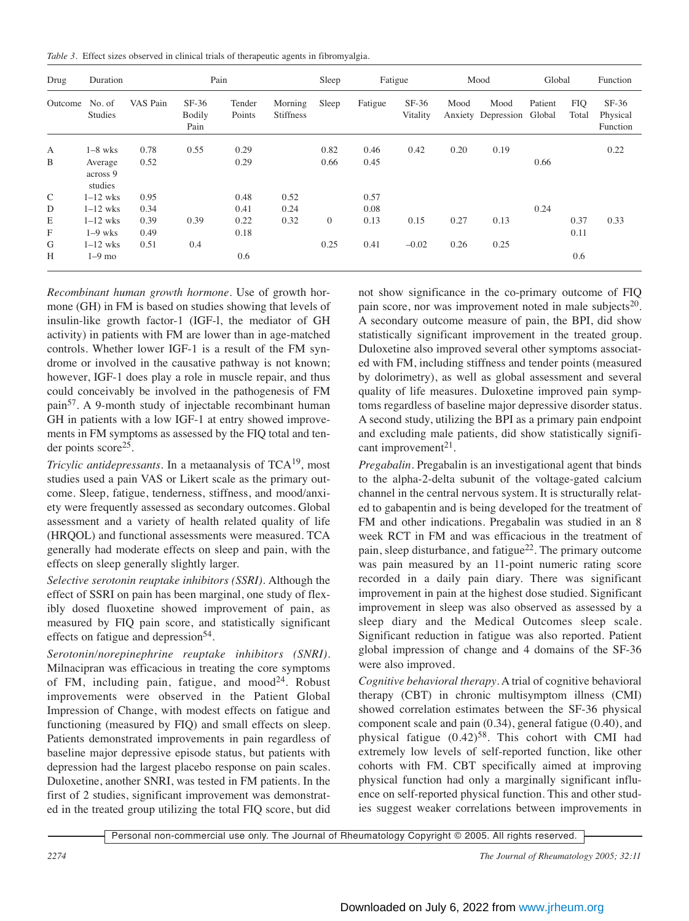|  |  |  | Table 3. Effect sizes observed in clinical trials of therapeutic agents in fibromyalgia. |
|--|--|--|------------------------------------------------------------------------------------------|
|  |  |  |                                                                                          |

| Drug           | Duration                       |          |                                  | Pain             |                             | Sleep        |         | Fatigue             |      | Mood                       | Global            |                     | Function                        |
|----------------|--------------------------------|----------|----------------------------------|------------------|-----------------------------|--------------|---------|---------------------|------|----------------------------|-------------------|---------------------|---------------------------------|
| Outcome No. of | <b>Studies</b>                 | VAS Pain | $SF-36$<br><b>Bodily</b><br>Pain | Tender<br>Points | Morning<br><b>Stiffness</b> | Sleep        | Fatigue | $SF-36$<br>Vitality | Mood | Mood<br>Anxiety Depression | Patient<br>Global | <b>FIQ</b><br>Total | $SF-36$<br>Physical<br>Function |
| $\mathbf{A}$   | $1-8$ wks                      | 0.78     | 0.55                             | 0.29             |                             | 0.82         | 0.46    | 0.42                | 0.20 | 0.19                       |                   |                     | 0.22                            |
| B              | Average<br>across 9<br>studies | 0.52     |                                  | 0.29             |                             | 0.66         | 0.45    |                     |      |                            | 0.66              |                     |                                 |
| $\mathsf{C}$   | $1-12$ wks                     | 0.95     |                                  | 0.48             | 0.52                        |              | 0.57    |                     |      |                            |                   |                     |                                 |
| D              | $1-12$ wks                     | 0.34     |                                  | 0.41             | 0.24                        |              | 0.08    |                     |      |                            | 0.24              |                     |                                 |
| E              | $1-12$ wks                     | 0.39     | 0.39                             | 0.22             | 0.32                        | $\mathbf{0}$ | 0.13    | 0.15                | 0.27 | 0.13                       |                   | 0.37                | 0.33                            |
| F              | $1-9$ wks                      | 0.49     |                                  | 0.18             |                             |              |         |                     |      |                            |                   | 0.11                |                                 |
| G              | $1-12$ wks                     | 0.51     | 0.4                              |                  |                             | 0.25         | 0.41    | $-0.02$             | 0.26 | 0.25                       |                   |                     |                                 |
| H              | $1-9$ mo                       |          |                                  | 0.6              |                             |              |         |                     |      |                            |                   | 0.6                 |                                 |

*Recombinant human growth hormone*. Use of growth hormone (GH) in FM is based on studies showing that levels of insulin-like growth factor-1 (IGF-l, the mediator of GH activity) in patients with FM are lower than in age-matched controls. Whether lower IGF-1 is a result of the FM syndrome or involved in the causative pathway is not known; however, IGF-1 does play a role in muscle repair, and thus could conceivably be involved in the pathogenesis of FM pain57. A 9-month study of injectable recombinant human GH in patients with a low IGF-1 at entry showed improvements in FM symptoms as assessed by the FIQ total and tender points score<sup>25</sup>.

*Tricylic antidepressants.* In a metaanalysis of TCA<sup>19</sup>, most studies used a pain VAS or Likert scale as the primary outcome. Sleep, fatigue, tenderness, stiffness, and mood/anxiety were frequently assessed as secondary outcomes. Global assessment and a variety of health related quality of life (HRQOL) and functional assessments were measured. TCA generally had moderate effects on sleep and pain, with the effects on sleep generally slightly larger.

*Selective serotonin reuptake inhibitors (SSRI).* Although the effect of SSRI on pain has been marginal, one study of flexibly dosed fluoxetine showed improvement of pain, as measured by FIQ pain score, and statistically significant effects on fatigue and depression $54$ .

*Serotonin/norepinephrine reuptake inhibitors (SNRI).* Milnacipran was efficacious in treating the core symptoms of FM, including pain, fatigue, and  $mood^{24}$ . Robust improvements were observed in the Patient Global Impression of Change, with modest effects on fatigue and functioning (measured by FIQ) and small effects on sleep. Patients demonstrated improvements in pain regardless of baseline major depressive episode status, but patients with depression had the largest placebo response on pain scales. Duloxetine, another SNRI, was tested in FM patients. In the first of 2 studies, significant improvement was demonstrated in the treated group utilizing the total FIQ score, but did

not show significance in the co-primary outcome of FIQ pain score, nor was improvement noted in male subjects<sup>20</sup>. A secondary outcome measure of pain, the BPI, did show statistically significant improvement in the treated group. Duloxetine also improved several other symptoms associated with FM, including stiffness and tender points (measured by dolorimetry), as well as global assessment and several quality of life measures. Duloxetine improved pain symptoms regardless of baseline major depressive disorder status. A second study, utilizing the BPI as a primary pain endpoint and excluding male patients, did show statistically significant improvement<sup>21</sup>.

*Pregabalin*. Pregabalin is an investigational agent that binds to the alpha-2-delta subunit of the voltage-gated calcium channel in the central nervous system. It is structurally related to gabapentin and is being developed for the treatment of FM and other indications. Pregabalin was studied in an 8 week RCT in FM and was efficacious in the treatment of pain, sleep disturbance, and fatigue22. The primary outcome was pain measured by an 11-point numeric rating score recorded in a daily pain diary. There was significant improvement in pain at the highest dose studied. Significant improvement in sleep was also observed as assessed by a sleep diary and the Medical Outcomes sleep scale. Significant reduction in fatigue was also reported. Patient global impression of change and 4 domains of the SF-36 were also improved.

*Cognitive behavioral therapy*. A trial of cognitive behavioral therapy (CBT) in chronic multisymptom illness (CMI) showed correlation estimates between the SF-36 physical component scale and pain (0.34), general fatigue (0.40), and physical fatigue  $(0.42)^{58}$ . This cohort with CMI had extremely low levels of self-reported function, like other cohorts with FM. CBT specifically aimed at improving physical function had only a marginally significant influence on self-reported physical function. This and other studies suggest weaker correlations between improvements in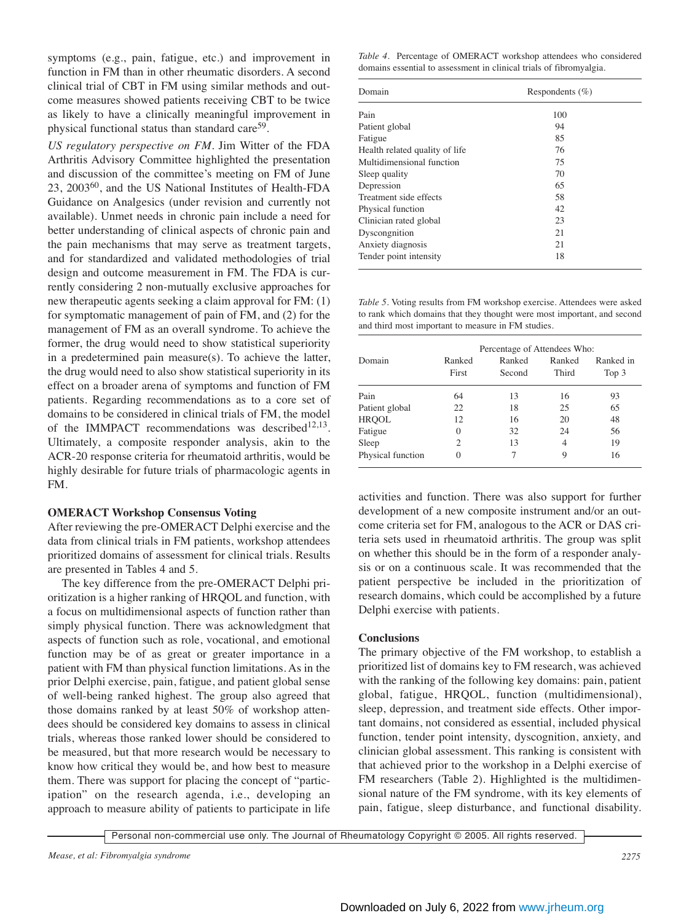symptoms (e.g., pain, fatigue, etc.) and improvement in function in FM than in other rheumatic disorders. A second clinical trial of CBT in FM using similar methods and outcome measures showed patients receiving CBT to be twice as likely to have a clinically meaningful improvement in physical functional status than standard care<sup>59</sup>.

*US regulatory perspective on FM.* Jim Witter of the FDA Arthritis Advisory Committee highlighted the presentation and discussion of the committee's meeting on FM of June 23, 200360, and the US National Institutes of Health-FDA Guidance on Analgesics (under revision and currently not available). Unmet needs in chronic pain include a need for better understanding of clinical aspects of chronic pain and the pain mechanisms that may serve as treatment targets, and for standardized and validated methodologies of trial design and outcome measurement in FM. The FDA is currently considering 2 non-mutually exclusive approaches for new therapeutic agents seeking a claim approval for FM: (1) for symptomatic management of pain of FM, and (2) for the management of FM as an overall syndrome. To achieve the former, the drug would need to show statistical superiority in a predetermined pain measure(s). To achieve the latter, the drug would need to also show statistical superiority in its effect on a broader arena of symptoms and function of FM patients. Regarding recommendations as to a core set of domains to be considered in clinical trials of FM, the model of the IMMPACT recommendations was described<sup>12,13</sup>. Ultimately, a composite responder analysis, akin to the ACR-20 response criteria for rheumatoid arthritis, would be highly desirable for future trials of pharmacologic agents in FM.

## **OMERACT Workshop Consensus Voting**

After reviewing the pre-OMERACT Delphi exercise and the data from clinical trials in FM patients, workshop attendees prioritized domains of assessment for clinical trials. Results are presented in Tables 4 and 5.

The key difference from the pre-OMERACT Delphi prioritization is a higher ranking of HRQOL and function, with a focus on multidimensional aspects of function rather than simply physical function. There was acknowledgment that aspects of function such as role, vocational, and emotional function may be of as great or greater importance in a patient with FM than physical function limitations. As in the prior Delphi exercise, pain, fatigue, and patient global sense of well-being ranked highest. The group also agreed that those domains ranked by at least 50% of workshop attendees should be considered key domains to assess in clinical trials, whereas those ranked lower should be considered to be measured, but that more research would be necessary to know how critical they would be, and how best to measure them. There was support for placing the concept of "participation" on the research agenda, i.e., developing an approach to measure ability of patients to participate in life

*Table 4.* Percentage of OMERACT workshop attendees who considered domains essential to assessment in clinical trials of fibromyalgia.

| Domain                         | Respondents $(\% )$ |  |  |
|--------------------------------|---------------------|--|--|
| Pain                           | 100                 |  |  |
| Patient global                 | 94                  |  |  |
| Fatigue                        | 85                  |  |  |
| Health related quality of life | 76                  |  |  |
| Multidimensional function      | 75                  |  |  |
| Sleep quality                  | 70                  |  |  |
| Depression                     | 65                  |  |  |
| Treatment side effects         | 58                  |  |  |
| Physical function              | 42                  |  |  |
| Clinician rated global         | 23                  |  |  |
| Dyscongnition                  | 21                  |  |  |
| Anxiety diagnosis              | 21                  |  |  |
| Tender point intensity         | 18                  |  |  |

*Table 5.* Voting results from FM workshop exercise. Attendees were asked to rank which domains that they thought were most important, and second and third most important to measure in FM studies.

|                   | Percentage of Attendees Who: |                  |                 |                    |  |  |  |
|-------------------|------------------------------|------------------|-----------------|--------------------|--|--|--|
| Domain            | Ranked<br>First              | Ranked<br>Second | Ranked<br>Third | Ranked in<br>Top 3 |  |  |  |
| Pain              | 64                           | 13               | 16              | 93                 |  |  |  |
| Patient global    | 22                           | 18               | 25              | 65                 |  |  |  |
| <b>HRQOL</b>      | 12                           | 16               | 20              | 48                 |  |  |  |
| Fatigue           | $\theta$                     | 32               | 24              | 56                 |  |  |  |
| Sleep             | $\mathcal{D}_{\mathcal{L}}$  | 13               | 4               | 19                 |  |  |  |
| Physical function | $\Omega$                     |                  | 9               | 16                 |  |  |  |

activities and function. There was also support for further development of a new composite instrument and/or an outcome criteria set for FM, analogous to the ACR or DAS criteria sets used in rheumatoid arthritis. The group was split on whether this should be in the form of a responder analysis or on a continuous scale. It was recommended that the patient perspective be included in the prioritization of research domains, which could be accomplished by a future Delphi exercise with patients.

## **Conclusions**

The primary objective of the FM workshop, to establish a prioritized list of domains key to FM research, was achieved with the ranking of the following key domains: pain, patient global, fatigue, HRQOL, function (multidimensional), sleep, depression, and treatment side effects. Other important domains, not considered as essential, included physical function, tender point intensity, dyscognition, anxiety, and clinician global assessment. This ranking is consistent with that achieved prior to the workshop in a Delphi exercise of FM researchers (Table 2). Highlighted is the multidimensional nature of the FM syndrome, with its key elements of pain, fatigue, sleep disturbance, and functional disability.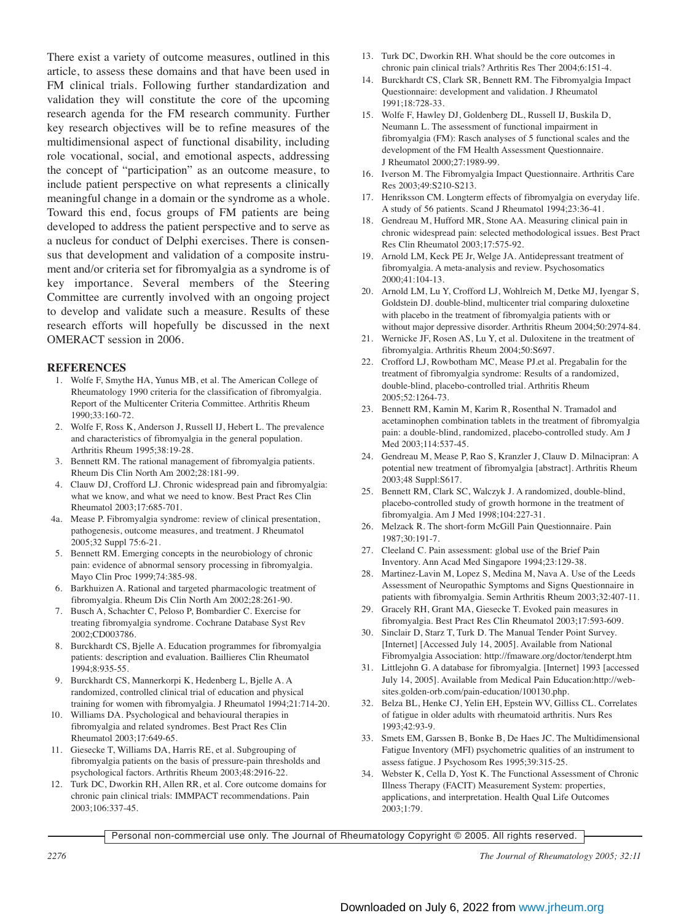There exist a variety of outcome measures, outlined in this article, to assess these domains and that have been used in FM clinical trials. Following further standardization and validation they will constitute the core of the upcoming research agenda for the FM research community. Further key research objectives will be to refine measures of the multidimensional aspect of functional disability, including role vocational, social, and emotional aspects, addressing the concept of "participation" as an outcome measure, to include patient perspective on what represents a clinically meaningful change in a domain or the syndrome as a whole. Toward this end, focus groups of FM patients are being developed to address the patient perspective and to serve as a nucleus for conduct of Delphi exercises. There is consensus that development and validation of a composite instrument and/or criteria set for fibromyalgia as a syndrome is of key importance. Several members of the Steering Committee are currently involved with an ongoing project to develop and validate such a measure. Results of these research efforts will hopefully be discussed in the next OMERACT session in 2006.

## **REFERENCES**

- 1. Wolfe F, Smythe HA, Yunus MB, et al. The American College of Rheumatology 1990 criteria for the classification of fibromyalgia. Report of the Multicenter Criteria Committee. Arthritis Rheum 1990;33:160-72.
- 2. Wolfe F, Ross K, Anderson J, Russell IJ, Hebert L. The prevalence and characteristics of fibromyalgia in the general population. Arthritis Rheum 1995;38:19-28.
- 3. Bennett RM. The rational management of fibromyalgia patients. Rheum Dis Clin North Am 2002;28:181-99.
- 4. Clauw DJ, Crofford LJ. Chronic widespread pain and fibromyalgia: what we know, and what we need to know. Best Pract Res Clin Rheumatol 2003;17:685-701.
- 4a. Mease P. Fibromyalgia syndrome: review of clinical presentation, pathogenesis, outcome measures, and treatment. J Rheumatol 2005;32 Suppl 75:6-21.
- 5. Bennett RM. Emerging concepts in the neurobiology of chronic pain: evidence of abnormal sensory processing in fibromyalgia. Mayo Clin Proc 1999;74:385-98.
- 6. Barkhuizen A. Rational and targeted pharmacologic treatment of fibromyalgia. Rheum Dis Clin North Am 2002;28:261-90.
- 7. Busch A, Schachter C, Peloso P, Bombardier C. Exercise for treating fibromyalgia syndrome. Cochrane Database Syst Rev 2002;CD003786.
- 8. Burckhardt CS, Bjelle A. Education programmes for fibromyalgia patients: description and evaluation. Baillieres Clin Rheumatol 1994;8:935-55.
- 9. Burckhardt CS, Mannerkorpi K, Hedenberg L, Bjelle A. A randomized, controlled clinical trial of education and physical training for women with fibromyalgia. J Rheumatol 1994;21:714-20.
- 10. Williams DA. Psychological and behavioural therapies in fibromyalgia and related syndromes. Best Pract Res Clin Rheumatol 2003;17:649-65.
- 11. Giesecke T, Williams DA, Harris RE, et al. Subgrouping of fibromyalgia patients on the basis of pressure-pain thresholds and psychological factors. Arthritis Rheum 2003;48:2916-22.
- 12. Turk DC, Dworkin RH, Allen RR, et al. Core outcome domains for chronic pain clinical trials: IMMPACT recommendations. Pain 2003;106:337-45.
- 13. Turk DC, Dworkin RH. What should be the core outcomes in chronic pain clinical trials? Arthritis Res Ther 2004;6:151-4.
- 14. Burckhardt CS, Clark SR, Bennett RM. The Fibromyalgia Impact Questionnaire: development and validation. J Rheumatol 1991;18:728-33.
- 15. Wolfe F, Hawley DJ, Goldenberg DL, Russell IJ, Buskila D, Neumann L. The assessment of functional impairment in fibromyalgia (FM): Rasch analyses of 5 functional scales and the development of the FM Health Assessment Questionnaire. J Rheumatol 2000;27:1989-99.
- 16. Iverson M. The Fibromyalgia Impact Questionnaire. Arthritis Care Res 2003;49:S210-S213.
- 17. Henriksson CM. Longterm effects of fibromyalgia on everyday life. A study of 56 patients. Scand J Rheumatol 1994;23:36-41.
- 18. Gendreau M, Hufford MR, Stone AA. Measuring clinical pain in chronic widespread pain: selected methodological issues. Best Pract Res Clin Rheumatol 2003;17:575-92.
- 19. Arnold LM, Keck PE Jr, Welge JA. Antidepressant treatment of fibromyalgia. A meta-analysis and review. Psychosomatics 2000;41:104-13.
- 20. Arnold LM, Lu Y, Crofford LJ, Wohlreich M, Detke MJ, Iyengar S, Goldstein DJ. double-blind, multicenter trial comparing duloxetine with placebo in the treatment of fibromyalgia patients with or without major depressive disorder. Arthritis Rheum 2004;50:2974-84.
- 21. Wernicke JF, Rosen AS, Lu Y, et al. Duloxitene in the treatment of fibromyalgia. Arthritis Rheum 2004;50:S697.
- 22. Crofford LJ, Rowbotham MC, Mease PJ.et al. Pregabalin for the treatment of fibromyalgia syndrome: Results of a randomized, double-blind, placebo-controlled trial. Arthritis Rheum 2005;52:1264-73.
- 23. Bennett RM, Kamin M, Karim R, Rosenthal N. Tramadol and acetaminophen combination tablets in the treatment of fibromyalgia pain: a double-blind, randomized, placebo-controlled study. Am J Med 2003;114:537-45.
- 24. Gendreau M, Mease P, Rao S, Kranzler J, Clauw D. Milnacipran: A potential new treatment of fibromyalgia [abstract]. Arthritis Rheum 2003;48 Suppl:S617.
- 25. Bennett RM, Clark SC, Walczyk J. A randomized, double-blind, placebo-controlled study of growth hormone in the treatment of fibromyalgia. Am J Med 1998;104:227-31.
- 26. Melzack R. The short-form McGill Pain Questionnaire. Pain 1987;30:191-7.
- 27. Cleeland C. Pain assessment: global use of the Brief Pain Inventory. Ann Acad Med Singapore 1994;23:129-38.
- 28. Martinez-Lavin M, Lopez S, Medina M, Nava A. Use of the Leeds Assessment of Neuropathic Symptoms and Signs Questionnaire in patients with fibromyalgia. Semin Arthritis Rheum 2003;32:407-11.
- 29. Gracely RH, Grant MA, Giesecke T. Evoked pain measures in fibromyalgia. Best Pract Res Clin Rheumatol 2003;17:593-609.
- 30. Sinclair D, Starz T, Turk D. The Manual Tender Point Survey. [Internet] [Accessed July 14, 2005]. Available from National Fibromyalgia Association: http://fmaware.org/doctor/tenderpt.htm
- 31. Littlejohn G. A database for fibromyalgia. [Internet] 1993 [accessed July 14, 2005]. Available from Medical Pain Education:http://websites.golden-orb.com/pain-education/100130.php.
- 32. Belza BL, Henke CJ, Yelin EH, Epstein WV, Gilliss CL. Correlates of fatigue in older adults with rheumatoid arthritis. Nurs Res 1993;42:93-9.
- 33. Smets EM, Garssen B, Bonke B, De Haes JC. The Multidimensional Fatigue Inventory (MFI) psychometric qualities of an instrument to assess fatigue. J Psychosom Res 1995;39:315-25.
- 34. Webster K, Cella D, Yost K. The Functional Assessment of Chronic Illness Therapy (FACIT) Measurement System: properties, applications, and interpretation. Health Qual Life Outcomes 2003;1:79.